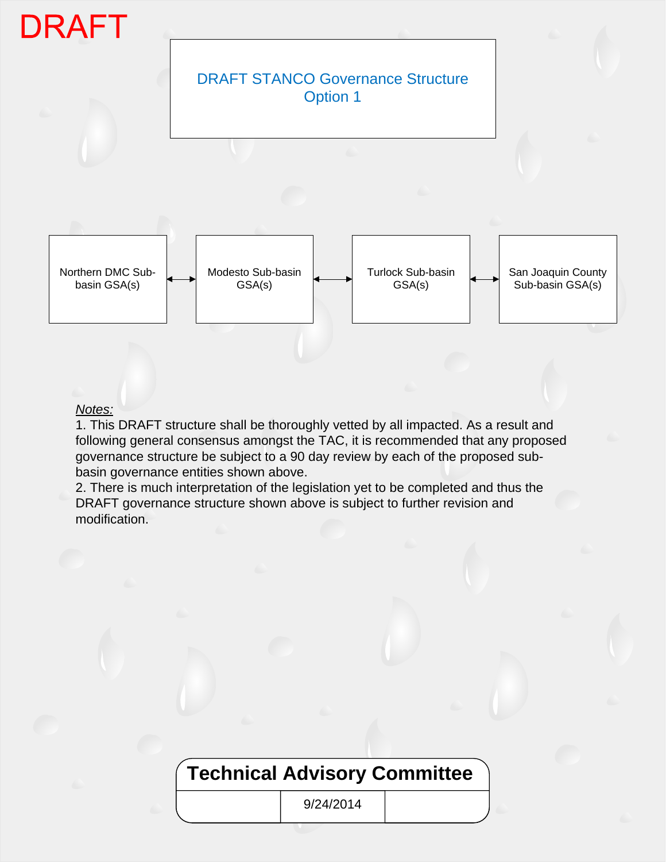

## *Notes:*

1. This DRAFT structure shall be thoroughly vetted by all impacted. As a result and following general consensus amongst the TAC, it is recommended that any proposed governance structure be subject to a 90 day review by each of the proposed subbasin governance entities shown above.

2. There is much interpretation of the legislation yet to be completed and thus the DRAFT governance structure shown above is subject to further revision and modification.

# **Technical Advisory Committee**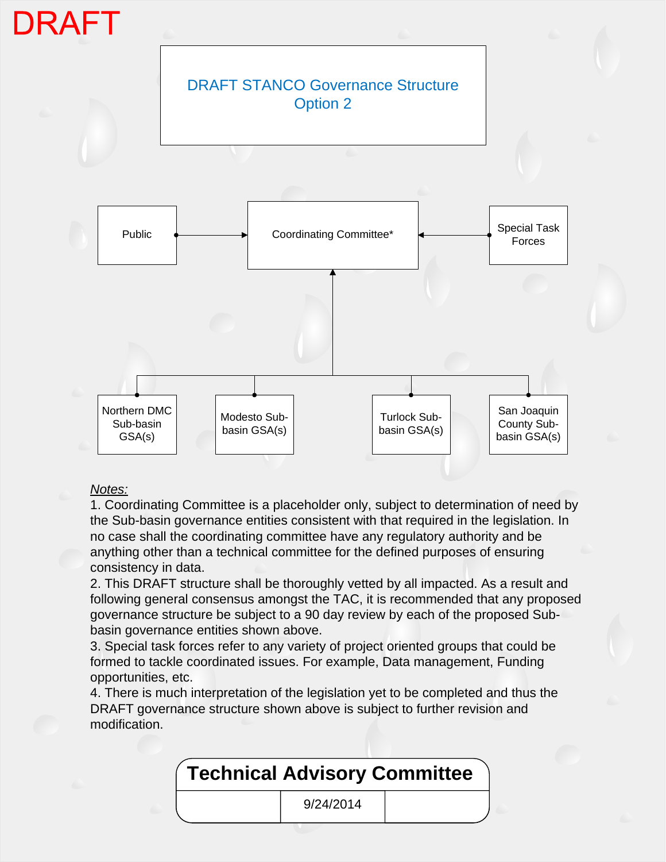

## *Notes:*

1. Coordinating Committee is a placeholder only, subject to determination of need by the Sub-basin governance entities consistent with that required in the legislation. In no case shall the coordinating committee have any regulatory authority and be anything other than a technical committee for the defined purposes of ensuring consistency in data.

2. This DRAFT structure shall be thoroughly vetted by all impacted. As a result and following general consensus amongst the TAC, it is recommended that any proposed governance structure be subject to a 90 day review by each of the proposed Subbasin governance entities shown above.

3. Special task forces refer to any variety of project oriented groups that could be formed to tackle coordinated issues. For example, Data management, Funding opportunities, etc.

4. There is much interpretation of the legislation yet to be completed and thus the DRAFT governance structure shown above is subject to further revision and modification.

| Technical Advisory Committee |           |  |
|------------------------------|-----------|--|
|                              | 9/24/2014 |  |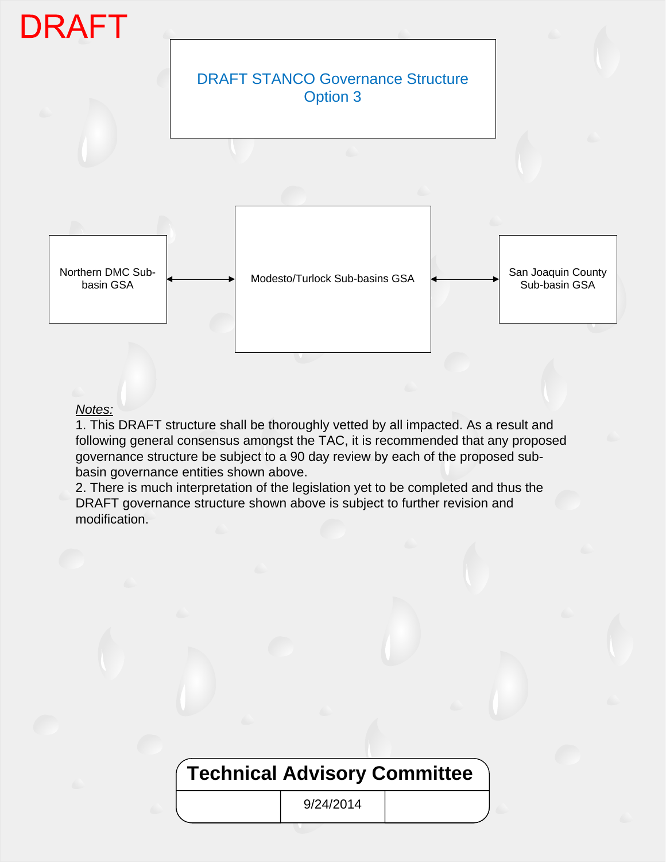

#### *Notes:*

1. This DRAFT structure shall be thoroughly vetted by all impacted. As a result and following general consensus amongst the TAC, it is recommended that any proposed governance structure be subject to a 90 day review by each of the proposed subbasin governance entities shown above.

2. There is much interpretation of the legislation yet to be completed and thus the DRAFT governance structure shown above is subject to further revision and modification.

# **Technical Advisory Committee**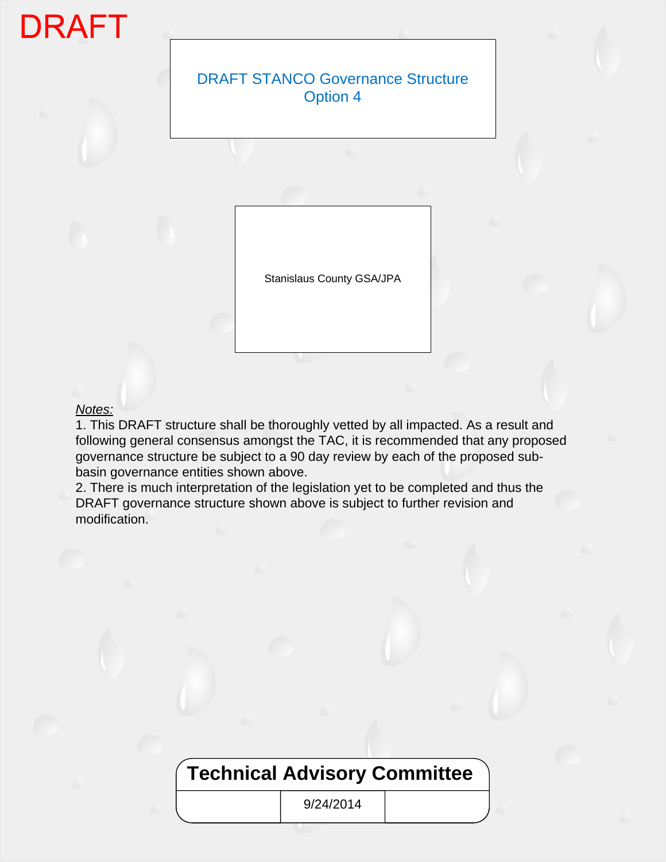# **DRAFT**

## DRAFT STANCO Governance Structure Option 4

Stanislaus County GSA/JPA

## *Notes:*

1. This DRAFT structure shall be thoroughly vetted by all impacted. As a result and following general consensus amongst the TAC, it is recommended that any proposed governance structure be subject to a 90 day review by each of the proposed subbasin governance entities shown above.

2. There is much interpretation of the legislation yet to be completed and thus the DRAFT governance structure shown above is subject to further revision and modification.

# **Technical Advisory Committee**